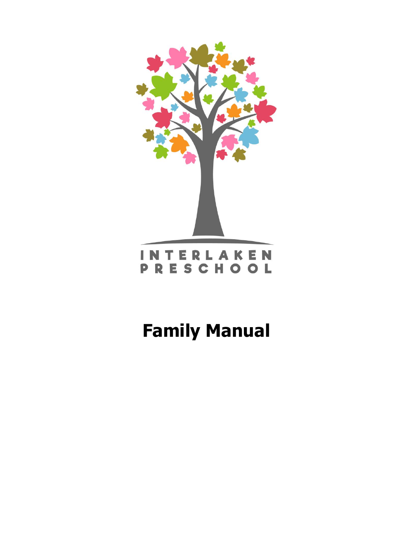



# **Family Manual**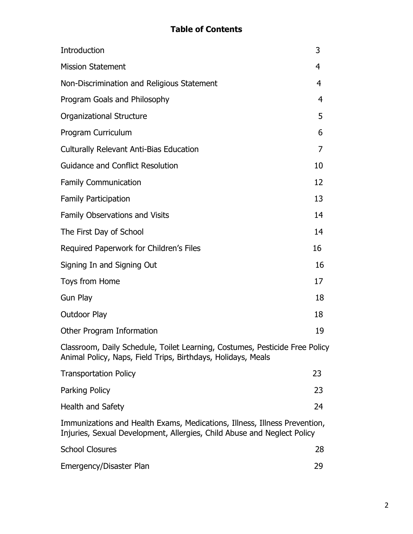## **Table of Contents**

| Introduction                                                                                                                                         | 3  |
|------------------------------------------------------------------------------------------------------------------------------------------------------|----|
| <b>Mission Statement</b>                                                                                                                             | 4  |
| Non-Discrimination and Religious Statement                                                                                                           | 4  |
| Program Goals and Philosophy                                                                                                                         | 4  |
| <b>Organizational Structure</b>                                                                                                                      | 5  |
| Program Curriculum                                                                                                                                   | 6  |
| <b>Culturally Relevant Anti-Bias Education</b>                                                                                                       | 7  |
| <b>Guidance and Conflict Resolution</b>                                                                                                              | 10 |
| <b>Family Communication</b>                                                                                                                          | 12 |
| <b>Family Participation</b>                                                                                                                          | 13 |
| Family Observations and Visits                                                                                                                       | 14 |
| The First Day of School                                                                                                                              | 14 |
| Required Paperwork for Children's Files                                                                                                              | 16 |
| Signing In and Signing Out                                                                                                                           | 16 |
| Toys from Home                                                                                                                                       | 17 |
| <b>Gun Play</b>                                                                                                                                      | 18 |
| <b>Outdoor Play</b>                                                                                                                                  | 18 |
| Other Program Information                                                                                                                            | 19 |
| Classroom, Daily Schedule, Toilet Learning, Costumes, Pesticide Free Policy<br>Animal Policy, Naps, Field Trips, Birthdays, Holidays, Meals          |    |
| <b>Transportation Policy</b>                                                                                                                         | 23 |
| Parking Policy                                                                                                                                       | 23 |
| Health and Safety                                                                                                                                    | 24 |
| Immunizations and Health Exams, Medications, Illness, Illness Prevention,<br>Injuries, Sexual Development, Allergies, Child Abuse and Neglect Policy |    |
| <b>School Closures</b>                                                                                                                               | 28 |
| Emergency/Disaster Plan                                                                                                                              | 29 |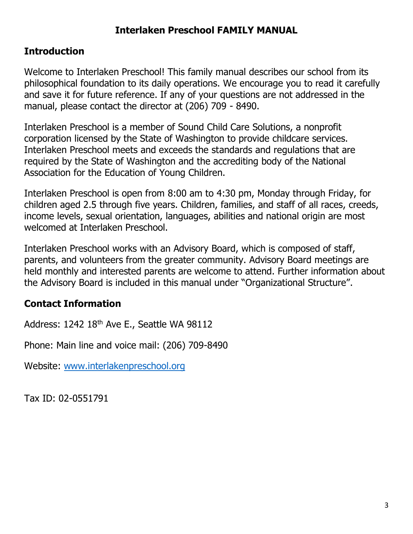# **Interlaken Preschool FAMILY MANUAL**

# **Introduction**

Welcome to Interlaken Preschool! This family manual describes our school from its philosophical foundation to its daily operations. We encourage you to read it carefully and save it for future reference. If any of your questions are not addressed in the manual, please contact the director at (206) 709 - 8490.

Interlaken Preschool is a member of Sound Child Care Solutions, a nonprofit corporation licensed by the State of Washington to provide childcare services. Interlaken Preschool meets and exceeds the standards and regulations that are required by the State of Washington and the accrediting body of the National Association for the Education of Young Children.

Interlaken Preschool is open from 8:00 am to 4:30 pm, Monday through Friday, for children aged 2.5 through five years. Children, families, and staff of all races, creeds, income levels, sexual orientation, languages, abilities and national origin are most welcomed at Interlaken Preschool.

Interlaken Preschool works with an Advisory Board, which is composed of staff, parents, and volunteers from the greater community. Advisory Board meetings are held monthly and interested parents are welcome to attend. Further information about the Advisory Board is included in this manual under "Organizational Structure".

# **Contact Information**

Address: 1242 18th Ave E., Seattle WA 98112

Phone: Main line and voice mail: (206) 709-8490

Website: [www.interlakenpreschool.org](http://www.interlakenpreschool.org/)

Tax ID: 02-0551791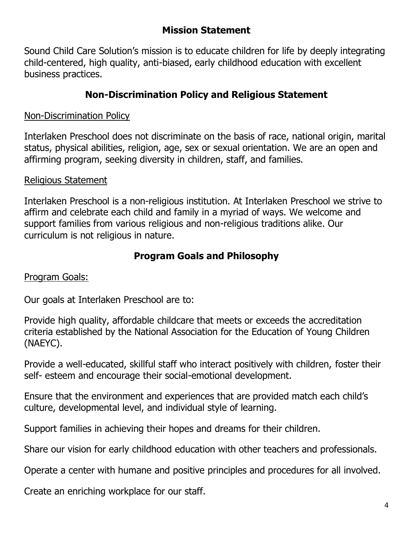## **Mission Statement**

Sound Child Care Solution's mission is to educate children for life by deeply integrating child-centered, high quality, anti-biased, early childhood education with excellent business practices.

# **Non-Discrimination Policy and Religious Statement**

## Non-Discrimination Policy

Interlaken Preschool does not discriminate on the basis of race, national origin, marital status, physical abilities, religion, age, sex or sexual orientation. We are an open and affirming program, seeking diversity in children, staff, and families.

## Religious Statement

Interlaken Preschool is a non-religious institution. At Interlaken Preschool we strive to affirm and celebrate each child and family in a myriad of ways. We welcome and support families from various religious and non-religious traditions alike. Our curriculum is not religious in nature.

## **Program Goals and Philosophy**

## Program Goals:

Our goals at Interlaken Preschool are to:

Provide high quality, affordable childcare that meets or exceeds the accreditation criteria established by the National Association for the Education of Young Children (NAEYC).

Provide a well-educated, skillful staff who interact positively with children, foster their self- esteem and encourage their social-emotional development.

Ensure that the environment and experiences that are provided match each child's culture, developmental level, and individual style of learning.

Support families in achieving their hopes and dreams for their children.

Share our vision for early childhood education with other teachers and professionals.

Operate a center with humane and positive principles and procedures for all involved.

Create an enriching workplace for our staff.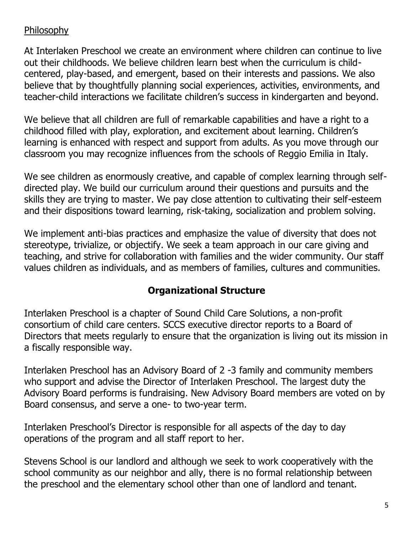## Philosophy

At Interlaken Preschool we create an environment where children can continue to live out their childhoods. We believe children learn best when the curriculum is childcentered, play-based, and emergent, based on their interests and passions. We also believe that by thoughtfully planning social experiences, activities, environments, and teacher-child interactions we facilitate children's success in kindergarten and beyond.

We believe that all children are full of remarkable capabilities and have a right to a childhood filled with play, exploration, and excitement about learning. Children's learning is enhanced with respect and support from adults. As you move through our classroom you may recognize influences from the schools of Reggio Emilia in Italy.

We see children as enormously creative, and capable of complex learning through selfdirected play. We build our curriculum around their questions and pursuits and the skills they are trying to master. We pay close attention to cultivating their self-esteem and their dispositions toward learning, risk-taking, socialization and problem solving.

We implement anti-bias practices and emphasize the value of diversity that does not stereotype, trivialize, or objectify. We seek a team approach in our care giving and teaching, and strive for collaboration with families and the wider community. Our staff values children as individuals, and as members of families, cultures and communities.

## **Organizational Structure**

Interlaken Preschool is a chapter of Sound Child Care Solutions, a non-profit consortium of child care centers. SCCS executive director reports to a Board of Directors that meets regularly to ensure that the organization is living out its mission in a fiscally responsible way.

Interlaken Preschool has an Advisory Board of 2 -3 family and community members who support and advise the Director of Interlaken Preschool. The largest duty the Advisory Board performs is fundraising. New Advisory Board members are voted on by Board consensus, and serve a one- to two-year term.

Interlaken Preschool's Director is responsible for all aspects of the day to day operations of the program and all staff report to her.

Stevens School is our landlord and although we seek to work cooperatively with the school community as our neighbor and ally, there is no formal relationship between the preschool and the elementary school other than one of landlord and tenant.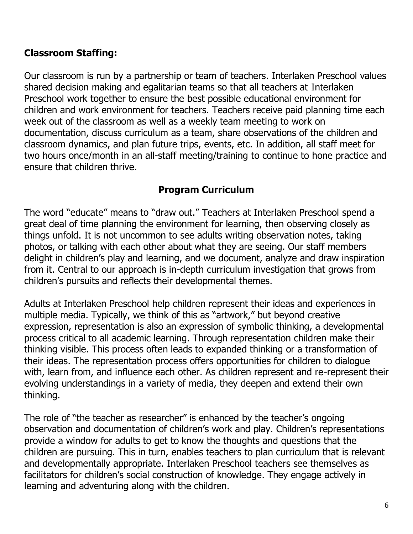## **Classroom Staffing:**

Our classroom is run by a partnership or team of teachers. Interlaken Preschool values shared decision making and egalitarian teams so that all teachers at Interlaken Preschool work together to ensure the best possible educational environment for children and work environment for teachers. Teachers receive paid planning time each week out of the classroom as well as a weekly team meeting to work on documentation, discuss curriculum as a team, share observations of the children and classroom dynamics, and plan future trips, events, etc. In addition, all staff meet for two hours once/month in an all-staff meeting/training to continue to hone practice and ensure that children thrive.

## **Program Curriculum**

The word "educate" means to "draw out." Teachers at Interlaken Preschool spend a great deal of time planning the environment for learning, then observing closely as things unfold. It is not uncommon to see adults writing observation notes, taking photos, or talking with each other about what they are seeing. Our staff members delight in children's play and learning, and we document, analyze and draw inspiration from it. Central to our approach is in-depth curriculum investigation that grows from children's pursuits and reflects their developmental themes.

Adults at Interlaken Preschool help children represent their ideas and experiences in multiple media. Typically, we think of this as "artwork," but beyond creative expression, representation is also an expression of symbolic thinking, a developmental process critical to all academic learning. Through representation children make their thinking visible. This process often leads to expanded thinking or a transformation of their ideas. The representation process offers opportunities for children to dialogue with, learn from, and influence each other. As children represent and re-represent their evolving understandings in a variety of media, they deepen and extend their own thinking.

The role of "the teacher as researcher" is enhanced by the teacher's ongoing observation and documentation of children's work and play. Children's representations provide a window for adults to get to know the thoughts and questions that the children are pursuing. This in turn, enables teachers to plan curriculum that is relevant and developmentally appropriate. Interlaken Preschool teachers see themselves as facilitators for children's social construction of knowledge. They engage actively in learning and adventuring along with the children.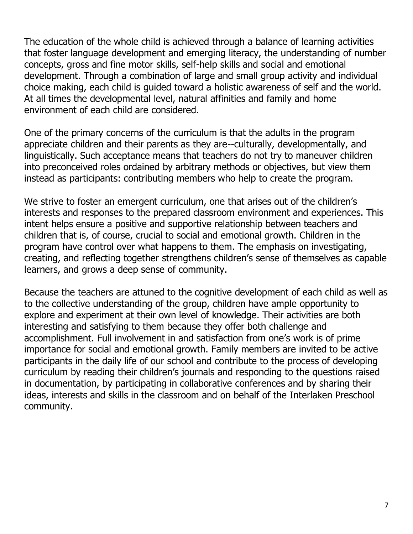The education of the whole child is achieved through a balance of learning activities that foster language development and emerging literacy, the understanding of number concepts, gross and fine motor skills, self-help skills and social and emotional development. Through a combination of large and small group activity and individual choice making, each child is guided toward a holistic awareness of self and the world. At all times the developmental level, natural affinities and family and home environment of each child are considered.

One of the primary concerns of the curriculum is that the adults in the program appreciate children and their parents as they are--culturally, developmentally, and linguistically. Such acceptance means that teachers do not try to maneuver children into preconceived roles ordained by arbitrary methods or objectives, but view them instead as participants: contributing members who help to create the program.

We strive to foster an emergent curriculum, one that arises out of the children's interests and responses to the prepared classroom environment and experiences. This intent helps ensure a positive and supportive relationship between teachers and children that is, of course, crucial to social and emotional growth. Children in the program have control over what happens to them. The emphasis on investigating, creating, and reflecting together strengthens children's sense of themselves as capable learners, and grows a deep sense of community.

Because the teachers are attuned to the cognitive development of each child as well as to the collective understanding of the group, children have ample opportunity to explore and experiment at their own level of knowledge. Their activities are both interesting and satisfying to them because they offer both challenge and accomplishment. Full involvement in and satisfaction from one's work is of prime importance for social and emotional growth. Family members are invited to be active participants in the daily life of our school and contribute to the process of developing curriculum by reading their children's journals and responding to the questions raised in documentation, by participating in collaborative conferences and by sharing their ideas, interests and skills in the classroom and on behalf of the Interlaken Preschool community.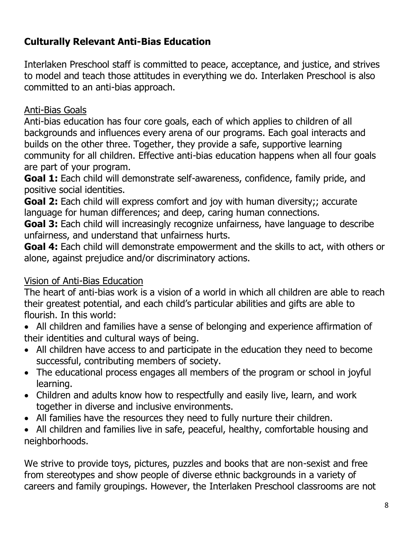# **Culturally Relevant Anti-Bias Education**

Interlaken Preschool staff is committed to peace, acceptance, and justice, and strives to model and teach those attitudes in everything we do. Interlaken Preschool is also committed to an anti-bias approach.

## Anti-Bias Goals

Anti-bias education has four core goals, each of which applies to children of all backgrounds and influences every arena of our programs. Each goal interacts and builds on the other three. Together, they provide a safe, supportive learning community for all children. Effective anti-bias education happens when all four goals are part of your program.

**Goal 1:** Each child will demonstrate self-awareness, confidence, family pride, and positive social identities.

**Goal 2:** Each child will express comfort and joy with human diversity;; accurate language for human differences; and deep, caring human connections.

**Goal 3:** Each child will increasingly recognize unfairness, have language to describe unfairness, and understand that unfairness hurts.

**Goal 4:** Each child will demonstrate empowerment and the skills to act, with others or alone, against prejudice and/or discriminatory actions.

# Vision of Anti-Bias Education

The heart of anti-bias work is a vision of a world in which all children are able to reach their greatest potential, and each child's particular abilities and gifts are able to flourish. In this world:

- All children and families have a sense of belonging and experience affirmation of their identities and cultural ways of being.
- All children have access to and participate in the education they need to become successful, contributing members of society.
- The educational process engages all members of the program or school in joyful learning.
- Children and adults know how to respectfully and easily live, learn, and work together in diverse and inclusive environments.
- All families have the resources they need to fully nurture their children.
- All children and families live in safe, peaceful, healthy, comfortable housing and neighborhoods.

We strive to provide toys, pictures, puzzles and books that are non-sexist and free from stereotypes and show people of diverse ethnic backgrounds in a variety of careers and family groupings. However, the Interlaken Preschool classrooms are not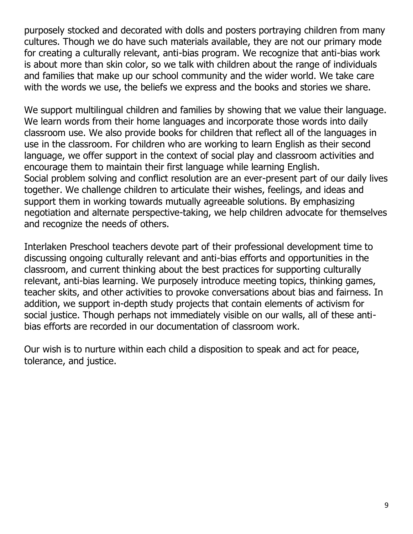purposely stocked and decorated with dolls and posters portraying children from many cultures. Though we do have such materials available, they are not our primary mode for creating a culturally relevant, anti-bias program. We recognize that anti-bias work is about more than skin color, so we talk with children about the range of individuals and families that make up our school community and the wider world. We take care with the words we use, the beliefs we express and the books and stories we share.

We support multilingual children and families by showing that we value their language. We learn words from their home languages and incorporate those words into daily classroom use. We also provide books for children that reflect all of the languages in use in the classroom. For children who are working to learn English as their second language, we offer support in the context of social play and classroom activities and encourage them to maintain their first language while learning English. Social problem solving and conflict resolution are an ever-present part of our daily lives together. We challenge children to articulate their wishes, feelings, and ideas and support them in working towards mutually agreeable solutions. By emphasizing negotiation and alternate perspective-taking, we help children advocate for themselves and recognize the needs of others.

Interlaken Preschool teachers devote part of their professional development time to discussing ongoing culturally relevant and anti-bias efforts and opportunities in the classroom, and current thinking about the best practices for supporting culturally relevant, anti-bias learning. We purposely introduce meeting topics, thinking games, teacher skits, and other activities to provoke conversations about bias and fairness. In addition, we support in-depth study projects that contain elements of activism for social justice. Though perhaps not immediately visible on our walls, all of these antibias efforts are recorded in our documentation of classroom work.

Our wish is to nurture within each child a disposition to speak and act for peace, tolerance, and justice.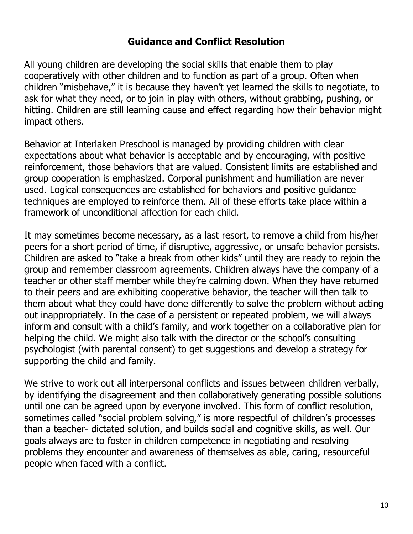## **Guidance and Conflict Resolution**

All young children are developing the social skills that enable them to play cooperatively with other children and to function as part of a group. Often when children "misbehave," it is because they haven't yet learned the skills to negotiate, to ask for what they need, or to join in play with others, without grabbing, pushing, or hitting. Children are still learning cause and effect regarding how their behavior might impact others.

Behavior at Interlaken Preschool is managed by providing children with clear expectations about what behavior is acceptable and by encouraging, with positive reinforcement, those behaviors that are valued. Consistent limits are established and group cooperation is emphasized. Corporal punishment and humiliation are never used. Logical consequences are established for behaviors and positive guidance techniques are employed to reinforce them. All of these efforts take place within a framework of unconditional affection for each child.

It may sometimes become necessary, as a last resort, to remove a child from his/her peers for a short period of time, if disruptive, aggressive, or unsafe behavior persists. Children are asked to "take a break from other kids" until they are ready to rejoin the group and remember classroom agreements. Children always have the company of a teacher or other staff member while they're calming down. When they have returned to their peers and are exhibiting cooperative behavior, the teacher will then talk to them about what they could have done differently to solve the problem without acting out inappropriately. In the case of a persistent or repeated problem, we will always inform and consult with a child's family, and work together on a collaborative plan for helping the child. We might also talk with the director or the school's consulting psychologist (with parental consent) to get suggestions and develop a strategy for supporting the child and family.

We strive to work out all interpersonal conflicts and issues between children verbally, by identifying the disagreement and then collaboratively generating possible solutions until one can be agreed upon by everyone involved. This form of conflict resolution, sometimes called "social problem solving," is more respectful of children's processes than a teacher- dictated solution, and builds social and cognitive skills, as well. Our goals always are to foster in children competence in negotiating and resolving problems they encounter and awareness of themselves as able, caring, resourceful people when faced with a conflict.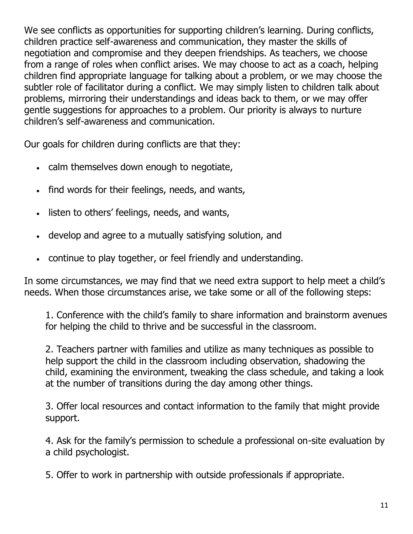We see conflicts as opportunities for supporting children's learning. During conflicts, children practice self-awareness and communication, they master the skills of negotiation and compromise and they deepen friendships. As teachers, we choose from a range of roles when conflict arises. We may choose to act as a coach, helping children find appropriate language for talking about a problem, or we may choose the subtler role of facilitator during a conflict. We may simply listen to children talk about problems, mirroring their understandings and ideas back to them, or we may offer gentle suggestions for approaches to a problem. Our priority is always to nurture children's self-awareness and communication.

Our goals for children during conflicts are that they:

- calm themselves down enough to negotiate,
- find words for their feelings, needs, and wants,
- listen to others' feelings, needs, and wants,
- develop and agree to a mutually satisfying solution, and
- continue to play together, or feel friendly and understanding.

In some circumstances, we may find that we need extra support to help meet a child's needs. When those circumstances arise, we take some or all of the following steps:

1. Conference with the child's family to share information and brainstorm avenues for helping the child to thrive and be successful in the classroom.

2. Teachers partner with families and utilize as many techniques as possible to help support the child in the classroom including observation, shadowing the child, examining the environment, tweaking the class schedule, and taking a look at the number of transitions during the day among other things.

3. Offer local resources and contact information to the family that might provide support.

4. Ask for the family's permission to schedule a professional on-site evaluation by a child psychologist.

5. Offer to work in partnership with outside professionals if appropriate.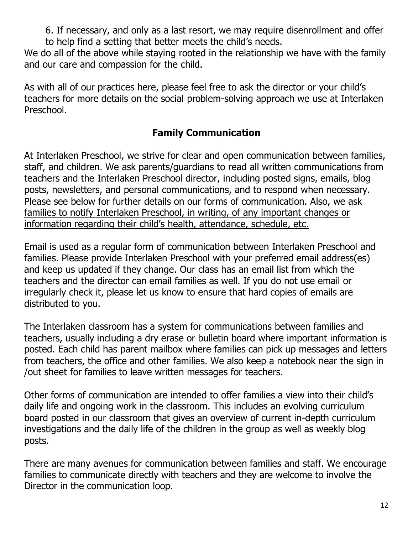6. If necessary, and only as a last resort, we may require disenrollment and offer to help find a setting that better meets the child's needs.

We do all of the above while staying rooted in the relationship we have with the family and our care and compassion for the child.

As with all of our practices here, please feel free to ask the director or your child's teachers for more details on the social problem-solving approach we use at Interlaken Preschool.

# **Family Communication**

At Interlaken Preschool, we strive for clear and open communication between families, staff, and children. We ask parents/guardians to read all written communications from teachers and the Interlaken Preschool director, including posted signs, emails, blog posts, newsletters, and personal communications, and to respond when necessary. Please see below for further details on our forms of communication. Also, we ask families to notify Interlaken Preschool, in writing, of any important changes or information regarding their child's health, attendance, schedule, etc.

Email is used as a regular form of communication between Interlaken Preschool and families. Please provide Interlaken Preschool with your preferred email address(es) and keep us updated if they change. Our class has an email list from which the teachers and the director can email families as well. If you do not use email or irregularly check it, please let us know to ensure that hard copies of emails are distributed to you.

The Interlaken classroom has a system for communications between families and teachers, usually including a dry erase or bulletin board where important information is posted. Each child has parent mailbox where families can pick up messages and letters from teachers, the office and other families. We also keep a notebook near the sign in /out sheet for families to leave written messages for teachers.

Other forms of communication are intended to offer families a view into their child's daily life and ongoing work in the classroom. This includes an evolving curriculum board posted in our classroom that gives an overview of current in-depth curriculum investigations and the daily life of the children in the group as well as weekly blog posts.

There are many avenues for communication between families and staff. We encourage families to communicate directly with teachers and they are welcome to involve the Director in the communication loop.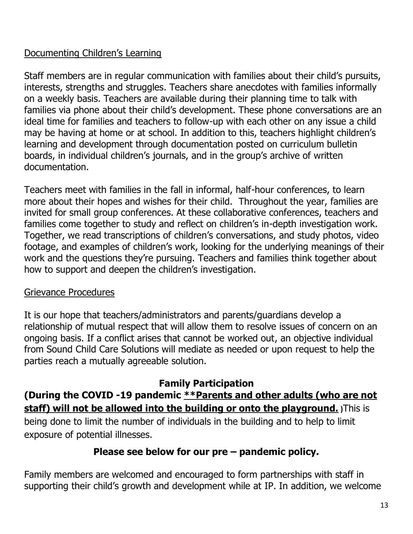## Documenting Children's Learning

Staff members are in regular communication with families about their child's pursuits, interests, strengths and struggles. Teachers share anecdotes with families informally on a weekly basis. Teachers are available during their planning time to talk with families via phone about their child's development. These phone conversations are an ideal time for families and teachers to follow-up with each other on any issue a child may be having at home or at school. In addition to this, teachers highlight children's learning and development through documentation posted on curriculum bulletin boards, in individual children's journals, and in the group's archive of written documentation.

Teachers meet with families in the fall in informal, half-hour conferences, to learn more about their hopes and wishes for their child. Throughout the year, families are invited for small group conferences. At these collaborative conferences, teachers and families come together to study and reflect on children's in-depth investigation work. Together, we read transcriptions of children's conversations, and study photos, video footage, and examples of children's work, looking for the underlying meanings of their work and the questions they're pursuing. Teachers and families think together about how to support and deepen the children's investigation.

## Grievance Procedures

It is our hope that teachers/administrators and parents/guardians develop a relationship of mutual respect that will allow them to resolve issues of concern on an ongoing basis. If a conflict arises that cannot be worked out, an objective individual from Sound Child Care Solutions will mediate as needed or upon request to help the parties reach a mutually agreeable solution.

## **Family Participation**

# **(During the COVID -19 pandemic \*\*Parents and other adults (who are not staff) will not be allowed into the building or onto the playground. )**This is

being done to limit the number of individuals in the building and to help to limit exposure of potential illnesses.

## **Please see below for our pre – pandemic policy.**

Family members are welcomed and encouraged to form partnerships with staff in supporting their child's growth and development while at IP. In addition, we welcome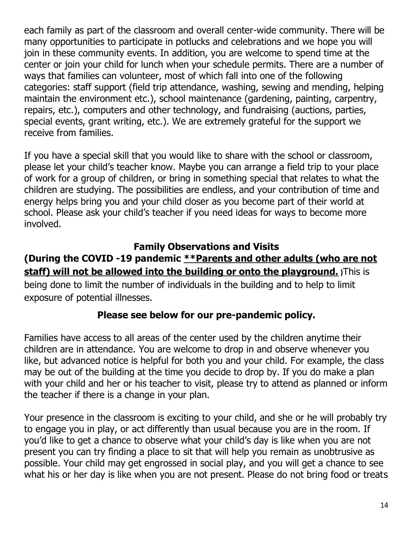each family as part of the classroom and overall center-wide community. There will be many opportunities to participate in potlucks and celebrations and we hope you will join in these community events. In addition, you are welcome to spend time at the center or join your child for lunch when your schedule permits. There are a number of ways that families can volunteer, most of which fall into one of the following categories: staff support (field trip attendance, washing, sewing and mending, helping maintain the environment etc.), school maintenance (gardening, painting, carpentry, repairs, etc.), computers and other technology, and fundraising (auctions, parties, special events, grant writing, etc.). We are extremely grateful for the support we receive from families.

If you have a special skill that you would like to share with the school or classroom, please let your child's teacher know. Maybe you can arrange a field trip to your place of work for a group of children, or bring in something special that relates to what the children are studying. The possibilities are endless, and your contribution of time and energy helps bring you and your child closer as you become part of their world at school. Please ask your child's teacher if you need ideas for ways to become more involved.

## **Family Observations and Visits**

# **(During the COVID -19 pandemic \*\*Parents and other adults (who are not staff) will not be allowed into the building or onto the playground. )**This is

being done to limit the number of individuals in the building and to help to limit exposure of potential illnesses.

## **Please see below for our pre-pandemic policy.**

Families have access to all areas of the center used by the children anytime their children are in attendance. You are welcome to drop in and observe whenever you like, but advanced notice is helpful for both you and your child. For example, the class may be out of the building at the time you decide to drop by. If you do make a plan with your child and her or his teacher to visit, please try to attend as planned or inform the teacher if there is a change in your plan.

Your presence in the classroom is exciting to your child, and she or he will probably try to engage you in play, or act differently than usual because you are in the room. If you'd like to get a chance to observe what your child's day is like when you are not present you can try finding a place to sit that will help you remain as unobtrusive as possible. Your child may get engrossed in social play, and you will get a chance to see what his or her day is like when you are not present. Please do not bring food or treats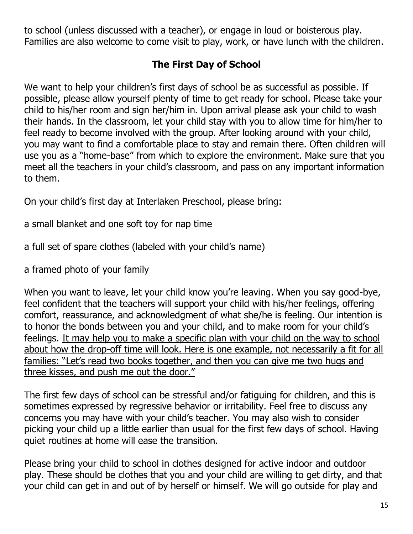to school (unless discussed with a teacher), or engage in loud or boisterous play. Families are also welcome to come visit to play, work, or have lunch with the children.

# **The First Day of School**

We want to help your children's first days of school be as successful as possible. If possible, please allow yourself plenty of time to get ready for school. Please take your child to his/her room and sign her/him in. Upon arrival please ask your child to wash their hands. In the classroom, let your child stay with you to allow time for him/her to feel ready to become involved with the group. After looking around with your child, you may want to find a comfortable place to stay and remain there. Often children will use you as a "home-base" from which to explore the environment. Make sure that you meet all the teachers in your child's classroom, and pass on any important information to them.

On your child's first day at Interlaken Preschool, please bring:

a small blanket and one soft toy for nap time

a full set of spare clothes (labeled with your child's name)

a framed photo of your family

When you want to leave, let your child know you're leaving. When you say good-bye, feel confident that the teachers will support your child with his/her feelings, offering comfort, reassurance, and acknowledgment of what she/he is feeling. Our intention is to honor the bonds between you and your child, and to make room for your child's feelings. It may help you to make a specific plan with your child on the way to school about how the drop-off time will look. Here is one example, not necessarily a fit for all families: "Let's read two books together, and then you can give me two hugs and three kisses, and push me out the door."

The first few days of school can be stressful and/or fatiguing for children, and this is sometimes expressed by regressive behavior or irritability. Feel free to discuss any concerns you may have with your child's teacher. You may also wish to consider picking your child up a little earlier than usual for the first few days of school. Having quiet routines at home will ease the transition.

Please bring your child to school in clothes designed for active indoor and outdoor play. These should be clothes that you and your child are willing to get dirty, and that your child can get in and out of by herself or himself. We will go outside for play and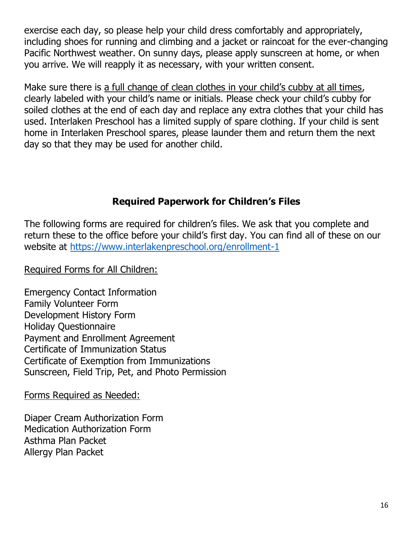exercise each day, so please help your child dress comfortably and appropriately, including shoes for running and climbing and a jacket or raincoat for the ever-changing Pacific Northwest weather. On sunny days, please apply sunscreen at home, or when you arrive. We will reapply it as necessary, with your written consent.

Make sure there is a full change of clean clothes in your child's cubby at all times, clearly labeled with your child's name or initials. Please check your child's cubby for soiled clothes at the end of each day and replace any extra clothes that your child has used. Interlaken Preschool has a limited supply of spare clothing. If your child is sent home in Interlaken Preschool spares, please launder them and return them the next day so that they may be used for another child.

## **Required Paperwork for Children's Files**

The following forms are required for children's files. We ask that you complete and return these to the office before your child's first day. You can find all of these on our website at<https://www.interlakenpreschool.org/enrollment-1>

Required Forms for All Children:

Emergency Contact Information Family Volunteer Form Development History Form Holiday Questionnaire Payment and Enrollment Agreement Certificate of Immunization Status Certificate of Exemption from Immunizations Sunscreen, Field Trip, Pet, and Photo Permission

Forms Required as Needed:

Diaper Cream Authorization Form Medication Authorization Form Asthma Plan Packet Allergy Plan Packet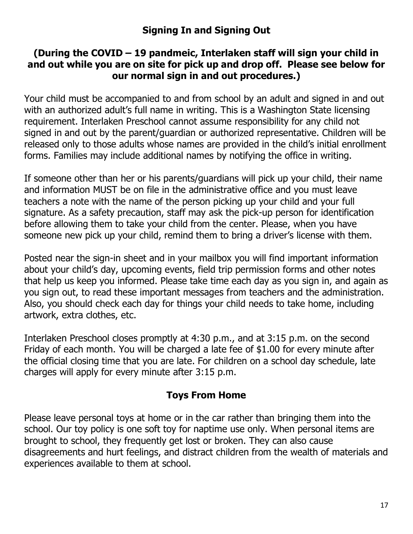## **(During the COVID – 19 pandmeic, Interlaken staff will sign your child in and out while you are on site for pick up and drop off. Please see below for our normal sign in and out procedures.)**

Your child must be accompanied to and from school by an adult and signed in and out with an authorized adult's full name in writing. This is a Washington State licensing requirement. Interlaken Preschool cannot assume responsibility for any child not signed in and out by the parent/guardian or authorized representative. Children will be released only to those adults whose names are provided in the child's initial enrollment forms. Families may include additional names by notifying the office in writing.

If someone other than her or his parents/guardians will pick up your child, their name and information MUST be on file in the administrative office and you must leave teachers a note with the name of the person picking up your child and your full signature. As a safety precaution, staff may ask the pick-up person for identification before allowing them to take your child from the center. Please, when you have someone new pick up your child, remind them to bring a driver's license with them.

Posted near the sign-in sheet and in your mailbox you will find important information about your child's day, upcoming events, field trip permission forms and other notes that help us keep you informed. Please take time each day as you sign in, and again as you sign out, to read these important messages from teachers and the administration. Also, you should check each day for things your child needs to take home, including artwork, extra clothes, etc.

Interlaken Preschool closes promptly at 4:30 p.m., and at 3:15 p.m. on the second Friday of each month. You will be charged a late fee of \$1.00 for every minute after the official closing time that you are late. For children on a school day schedule, late charges will apply for every minute after 3:15 p.m.

## **Toys From Home**

Please leave personal toys at home or in the car rather than bringing them into the school. Our toy policy is one soft toy for naptime use only. When personal items are brought to school, they frequently get lost or broken. They can also cause disagreements and hurt feelings, and distract children from the wealth of materials and experiences available to them at school.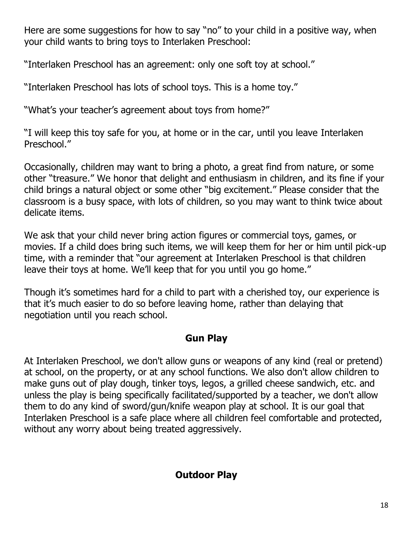Here are some suggestions for how to say "no" to your child in a positive way, when your child wants to bring toys to Interlaken Preschool:

"Interlaken Preschool has an agreement: only one soft toy at school."

"Interlaken Preschool has lots of school toys. This is a home toy."

"What's your teacher's agreement about toys from home?"

"I will keep this toy safe for you, at home or in the car, until you leave Interlaken Preschool."

Occasionally, children may want to bring a photo, a great find from nature, or some other "treasure." We honor that delight and enthusiasm in children, and its fine if your child brings a natural object or some other "big excitement." Please consider that the classroom is a busy space, with lots of children, so you may want to think twice about delicate items.

We ask that your child never bring action figures or commercial toys, games, or movies. If a child does bring such items, we will keep them for her or him until pick-up time, with a reminder that "our agreement at Interlaken Preschool is that children leave their toys at home. We'll keep that for you until you go home."

Though it's sometimes hard for a child to part with a cherished toy, our experience is that it's much easier to do so before leaving home, rather than delaying that negotiation until you reach school.

# **Gun Play**

At Interlaken Preschool, we don't allow guns or weapons of any kind (real or pretend) at school, on the property, or at any school functions. We also don't allow children to make guns out of play dough, tinker toys, legos, a grilled cheese sandwich, etc. and unless the play is being specifically facilitated/supported by a teacher, we don't allow them to do any kind of sword/gun/knife weapon play at school. It is our goal that Interlaken Preschool is a safe place where all children feel comfortable and protected, without any worry about being treated aggressively.

# **Outdoor Play**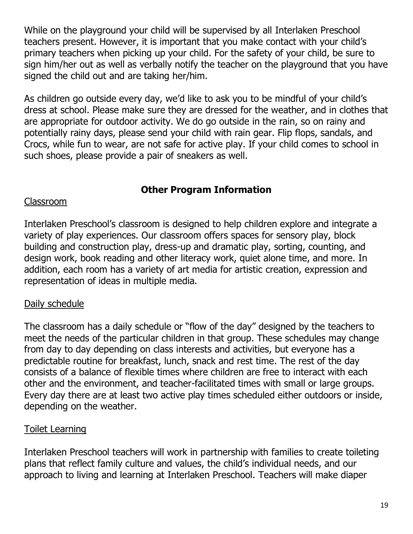While on the playground your child will be supervised by all Interlaken Preschool teachers present. However, it is important that you make contact with your child's primary teachers when picking up your child. For the safety of your child, be sure to sign him/her out as well as verbally notify the teacher on the playground that you have signed the child out and are taking her/him.

As children go outside every day, we'd like to ask you to be mindful of your child's dress at school. Please make sure they are dressed for the weather, and in clothes that are appropriate for outdoor activity. We do go outside in the rain, so on rainy and potentially rainy days, please send your child with rain gear. Flip flops, sandals, and Crocs, while fun to wear, are not safe for active play. If your child comes to school in such shoes, please provide a pair of sneakers as well.

# **Other Program Information**

## Classroom

Interlaken Preschool's classroom is designed to help children explore and integrate a variety of play experiences. Our classroom offers spaces for sensory play, block building and construction play, dress-up and dramatic play, sorting, counting, and design work, book reading and other literacy work, quiet alone time, and more. In addition, each room has a variety of art media for artistic creation, expression and representation of ideas in multiple media.

## Daily schedule

The classroom has a daily schedule or "flow of the day" designed by the teachers to meet the needs of the particular children in that group. These schedules may change from day to day depending on class interests and activities, but everyone has a predictable routine for breakfast, lunch, snack and rest time. The rest of the day consists of a balance of flexible times where children are free to interact with each other and the environment, and teacher-facilitated times with small or large groups. Every day there are at least two active play times scheduled either outdoors or inside, depending on the weather.

## Toilet Learning

Interlaken Preschool teachers will work in partnership with families to create toileting plans that reflect family culture and values, the child's individual needs, and our approach to living and learning at Interlaken Preschool. Teachers will make diaper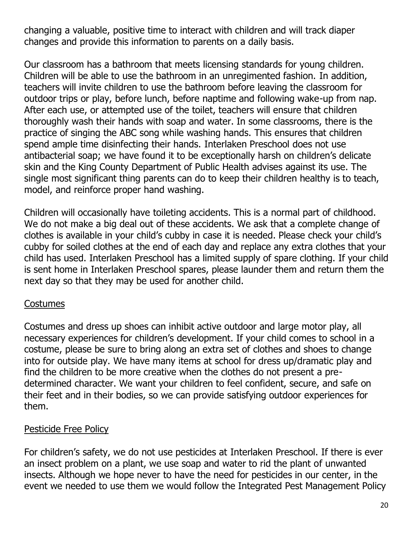changing a valuable, positive time to interact with children and will track diaper changes and provide this information to parents on a daily basis.

Our classroom has a bathroom that meets licensing standards for young children. Children will be able to use the bathroom in an unregimented fashion. In addition, teachers will invite children to use the bathroom before leaving the classroom for outdoor trips or play, before lunch, before naptime and following wake-up from nap. After each use, or attempted use of the toilet, teachers will ensure that children thoroughly wash their hands with soap and water. In some classrooms, there is the practice of singing the ABC song while washing hands. This ensures that children spend ample time disinfecting their hands. Interlaken Preschool does not use antibacterial soap; we have found it to be exceptionally harsh on children's delicate skin and the King County Department of Public Health advises against its use. The single most significant thing parents can do to keep their children healthy is to teach, model, and reinforce proper hand washing.

Children will occasionally have toileting accidents. This is a normal part of childhood. We do not make a big deal out of these accidents. We ask that a complete change of clothes is available in your child's cubby in case it is needed. Please check your child's cubby for soiled clothes at the end of each day and replace any extra clothes that your child has used. Interlaken Preschool has a limited supply of spare clothing. If your child is sent home in Interlaken Preschool spares, please launder them and return them the next day so that they may be used for another child.

## Costumes

Costumes and dress up shoes can inhibit active outdoor and large motor play, all necessary experiences for children's development. If your child comes to school in a costume, please be sure to bring along an extra set of clothes and shoes to change into for outside play. We have many items at school for dress up/dramatic play and find the children to be more creative when the clothes do not present a predetermined character. We want your children to feel confident, secure, and safe on their feet and in their bodies, so we can provide satisfying outdoor experiences for them.

## Pesticide Free Policy

For children's safety, we do not use pesticides at Interlaken Preschool. If there is ever an insect problem on a plant, we use soap and water to rid the plant of unwanted insects. Although we hope never to have the need for pesticides in our center, in the event we needed to use them we would follow the Integrated Pest Management Policy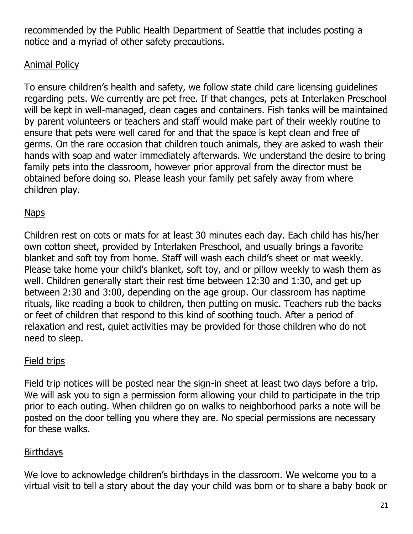recommended by the Public Health Department of Seattle that includes posting a notice and a myriad of other safety precautions.

## Animal Policy

To ensure children's health and safety, we follow state child care licensing guidelines regarding pets. We currently are pet free. If that changes, pets at Interlaken Preschool will be kept in well-managed, clean cages and containers. Fish tanks will be maintained by parent volunteers or teachers and staff would make part of their weekly routine to ensure that pets were well cared for and that the space is kept clean and free of germs. On the rare occasion that children touch animals, they are asked to wash their hands with soap and water immediately afterwards. We understand the desire to bring family pets into the classroom, however prior approval from the director must be obtained before doing so. Please leash your family pet safely away from where children play.

## **Naps**

Children rest on cots or mats for at least 30 minutes each day. Each child has his/her own cotton sheet, provided by Interlaken Preschool, and usually brings a favorite blanket and soft toy from home. Staff will wash each child's sheet or mat weekly. Please take home your child's blanket, soft toy, and or pillow weekly to wash them as well. Children generally start their rest time between 12:30 and 1:30, and get up between 2:30 and 3:00, depending on the age group. Our classroom has naptime rituals, like reading a book to children, then putting on music. Teachers rub the backs or feet of children that respond to this kind of soothing touch. After a period of relaxation and rest, quiet activities may be provided for those children who do not need to sleep.

# Field trips

Field trip notices will be posted near the sign-in sheet at least two days before a trip. We will ask you to sign a permission form allowing your child to participate in the trip prior to each outing. When children go on walks to neighborhood parks a note will be posted on the door telling you where they are. No special permissions are necessary for these walks.

# Birthdays

We love to acknowledge children's birthdays in the classroom. We welcome you to a virtual visit to tell a story about the day your child was born or to share a baby book or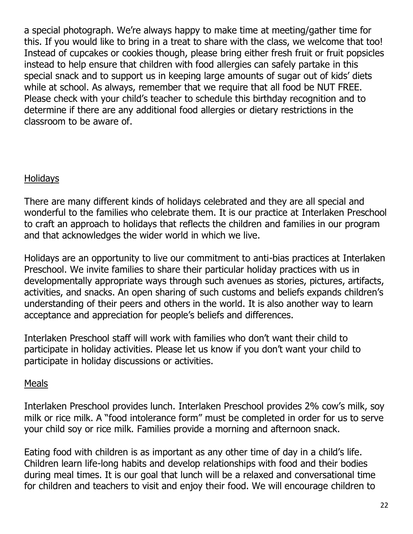a special photograph. We're always happy to make time at meeting/gather time for this. If you would like to bring in a treat to share with the class, we welcome that too! Instead of cupcakes or cookies though, please bring either fresh fruit or fruit popsicles instead to help ensure that children with food allergies can safely partake in this special snack and to support us in keeping large amounts of sugar out of kids' diets while at school. As always, remember that we require that all food be NUT FREE. Please check with your child's teacher to schedule this birthday recognition and to determine if there are any additional food allergies or dietary restrictions in the classroom to be aware of.

## **Holidays**

There are many different kinds of holidays celebrated and they are all special and wonderful to the families who celebrate them. It is our practice at Interlaken Preschool to craft an approach to holidays that reflects the children and families in our program and that acknowledges the wider world in which we live.

Holidays are an opportunity to live our commitment to anti-bias practices at Interlaken Preschool. We invite families to share their particular holiday practices with us in developmentally appropriate ways through such avenues as stories, pictures, artifacts, activities, and snacks. An open sharing of such customs and beliefs expands children's understanding of their peers and others in the world. It is also another way to learn acceptance and appreciation for people's beliefs and differences.

Interlaken Preschool staff will work with families who don't want their child to participate in holiday activities. Please let us know if you don't want your child to participate in holiday discussions or activities.

## Meals

Interlaken Preschool provides lunch. Interlaken Preschool provides 2% cow's milk, soy milk or rice milk. A "food intolerance form" must be completed in order for us to serve your child soy or rice milk. Families provide a morning and afternoon snack.

Eating food with children is as important as any other time of day in a child's life. Children learn life-long habits and develop relationships with food and their bodies during meal times. It is our goal that lunch will be a relaxed and conversational time for children and teachers to visit and enjoy their food. We will encourage children to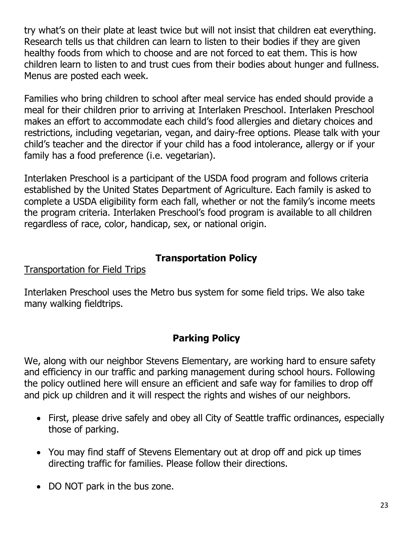try what's on their plate at least twice but will not insist that children eat everything. Research tells us that children can learn to listen to their bodies if they are given healthy foods from which to choose and are not forced to eat them. This is how children learn to listen to and trust cues from their bodies about hunger and fullness. Menus are posted each week.

Families who bring children to school after meal service has ended should provide a meal for their children prior to arriving at Interlaken Preschool. Interlaken Preschool makes an effort to accommodate each child's food allergies and dietary choices and restrictions, including vegetarian, vegan, and dairy-free options. Please talk with your child's teacher and the director if your child has a food intolerance, allergy or if your family has a food preference (i.e. vegetarian).

Interlaken Preschool is a participant of the USDA food program and follows criteria established by the United States Department of Agriculture. Each family is asked to complete a USDA eligibility form each fall, whether or not the family's income meets the program criteria. Interlaken Preschool's food program is available to all children regardless of race, color, handicap, sex, or national origin.

## **Transportation Policy**

## Transportation for Field Trips

Interlaken Preschool uses the Metro bus system for some field trips. We also take many walking fieldtrips.

# **Parking Policy**

We, along with our neighbor Stevens Elementary, are working hard to ensure safety and efficiency in our traffic and parking management during school hours. Following the policy outlined here will ensure an efficient and safe way for families to drop off and pick up children and it will respect the rights and wishes of our neighbors.

- First, please drive safely and obey all City of Seattle traffic ordinances, especially those of parking.
- You may find staff of Stevens Elementary out at drop off and pick up times directing traffic for families. Please follow their directions.
- DO NOT park in the bus zone.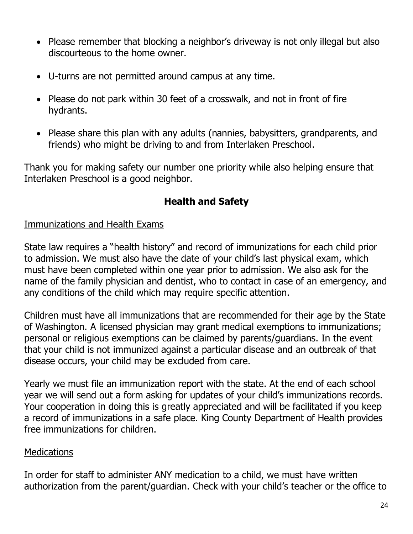- Please remember that blocking a neighbor's driveway is not only illegal but also discourteous to the home owner.
- U-turns are not permitted around campus at any time.
- Please do not park within 30 feet of a crosswalk, and not in front of fire hydrants.
- Please share this plan with any adults (nannies, babysitters, grandparents, and friends) who might be driving to and from Interlaken Preschool.

Thank you for making safety our number one priority while also helping ensure that Interlaken Preschool is a good neighbor.

## **Health and Safety**

## Immunizations and Health Exams

State law requires a "health history" and record of immunizations for each child prior to admission. We must also have the date of your child's last physical exam, which must have been completed within one year prior to admission. We also ask for the name of the family physician and dentist, who to contact in case of an emergency, and any conditions of the child which may require specific attention.

Children must have all immunizations that are recommended for their age by the State of Washington. A licensed physician may grant medical exemptions to immunizations; personal or religious exemptions can be claimed by parents/guardians. In the event that your child is not immunized against a particular disease and an outbreak of that disease occurs, your child may be excluded from care.

Yearly we must file an immunization report with the state. At the end of each school year we will send out a form asking for updates of your child's immunizations records. Your cooperation in doing this is greatly appreciated and will be facilitated if you keep a record of immunizations in a safe place. King County Department of Health provides free immunizations for children.

## **Medications**

In order for staff to administer ANY medication to a child, we must have written authorization from the parent/guardian. Check with your child's teacher or the office to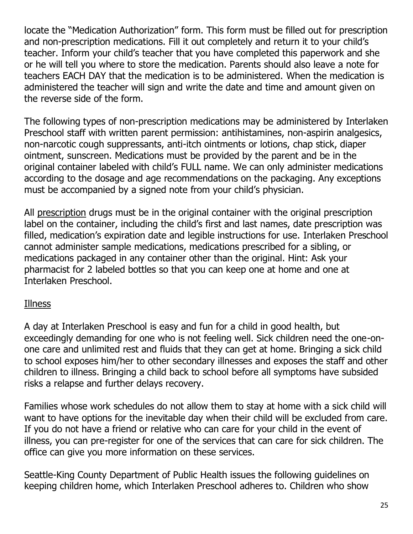locate the "Medication Authorization" form. This form must be filled out for prescription and non-prescription medications. Fill it out completely and return it to your child's teacher. Inform your child's teacher that you have completed this paperwork and she or he will tell you where to store the medication. Parents should also leave a note for teachers EACH DAY that the medication is to be administered. When the medication is administered the teacher will sign and write the date and time and amount given on the reverse side of the form.

The following types of non-prescription medications may be administered by Interlaken Preschool staff with written parent permission: antihistamines, non-aspirin analgesics, non-narcotic cough suppressants, anti-itch ointments or lotions, chap stick, diaper ointment, sunscreen. Medications must be provided by the parent and be in the original container labeled with child's FULL name. We can only administer medications according to the dosage and age recommendations on the packaging. Any exceptions must be accompanied by a signed note from your child's physician.

All prescription drugs must be in the original container with the original prescription label on the container, including the child's first and last names, date prescription was filled, medication's expiration date and legible instructions for use. Interlaken Preschool cannot administer sample medications, medications prescribed for a sibling, or medications packaged in any container other than the original. Hint: Ask your pharmacist for 2 labeled bottles so that you can keep one at home and one at Interlaken Preschool.

## Illness

A day at Interlaken Preschool is easy and fun for a child in good health, but exceedingly demanding for one who is not feeling well. Sick children need the one-onone care and unlimited rest and fluids that they can get at home. Bringing a sick child to school exposes him/her to other secondary illnesses and exposes the staff and other children to illness. Bringing a child back to school before all symptoms have subsided risks a relapse and further delays recovery.

Families whose work schedules do not allow them to stay at home with a sick child will want to have options for the inevitable day when their child will be excluded from care. If you do not have a friend or relative who can care for your child in the event of illness, you can pre-register for one of the services that can care for sick children. The office can give you more information on these services.

Seattle-King County Department of Public Health issues the following guidelines on keeping children home, which Interlaken Preschool adheres to. Children who show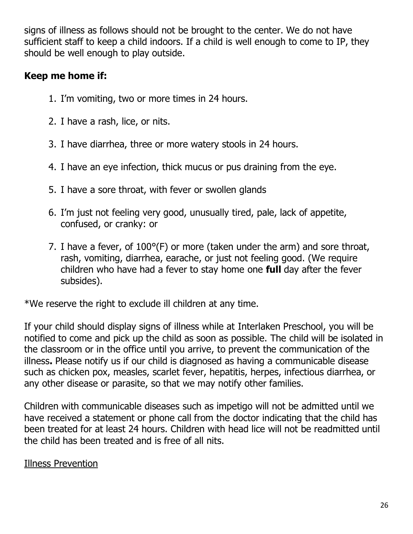signs of illness as follows should not be brought to the center. We do not have sufficient staff to keep a child indoors. If a child is well enough to come to IP, they should be well enough to play outside.

# **Keep me home if:**

- 1. I'm vomiting, two or more times in 24 hours.
- 2. I have a rash, lice, or nits.
- 3. I have diarrhea, three or more watery stools in 24 hours.
- 4. I have an eye infection, thick mucus or pus draining from the eye.
- 5. I have a sore throat, with fever or swollen glands
- 6. I'm just not feeling very good, unusually tired, pale, lack of appetite, confused, or cranky: or
- 7. I have a fever, of 100°(F) or more (taken under the arm) and sore throat, rash, vomiting, diarrhea, earache, or just not feeling good. (We require children who have had a fever to stay home one **full** day after the fever subsides).

\*We reserve the right to exclude ill children at any time.

If your child should display signs of illness while at Interlaken Preschool, you will be notified to come and pick up the child as soon as possible. The child will be isolated in the classroom or in the office until you arrive, to prevent the communication of the illness**.** Please notify us if our child is diagnosed as having a communicable disease such as chicken pox, measles, scarlet fever, hepatitis, herpes, infectious diarrhea, or any other disease or parasite, so that we may notify other families.

Children with communicable diseases such as impetigo will not be admitted until we have received a statement or phone call from the doctor indicating that the child has been treated for at least 24 hours. Children with head lice will not be readmitted until the child has been treated and is free of all nits.

## Illness Prevention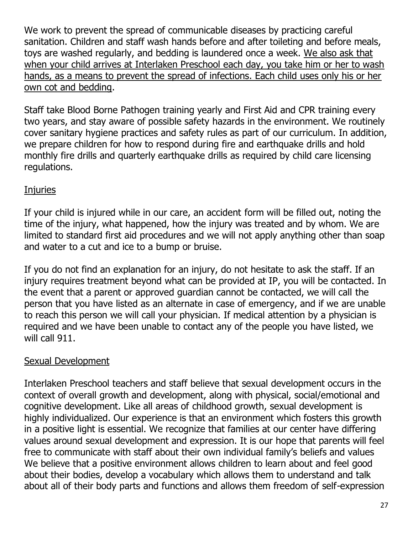We work to prevent the spread of communicable diseases by practicing careful sanitation. Children and staff wash hands before and after toileting and before meals, toys are washed regularly, and bedding is laundered once a week. We also ask that when your child arrives at Interlaken Preschool each day, you take him or her to wash hands, as a means to prevent the spread of infections. Each child uses only his or her own cot and bedding.

Staff take Blood Borne Pathogen training yearly and First Aid and CPR training every two years, and stay aware of possible safety hazards in the environment. We routinely cover sanitary hygiene practices and safety rules as part of our curriculum. In addition, we prepare children for how to respond during fire and earthquake drills and hold monthly fire drills and quarterly earthquake drills as required by child care licensing regulations.

# **Injuries**

If your child is injured while in our care, an accident form will be filled out, noting the time of the injury, what happened, how the injury was treated and by whom. We are limited to standard first aid procedures and we will not apply anything other than soap and water to a cut and ice to a bump or bruise.

If you do not find an explanation for an injury, do not hesitate to ask the staff. If an injury requires treatment beyond what can be provided at IP, you will be contacted. In the event that a parent or approved guardian cannot be contacted, we will call the person that you have listed as an alternate in case of emergency, and if we are unable to reach this person we will call your physician. If medical attention by a physician is required and we have been unable to contact any of the people you have listed, we will call 911.

## Sexual Development

Interlaken Preschool teachers and staff believe that sexual development occurs in the context of overall growth and development, along with physical, social/emotional and cognitive development. Like all areas of childhood growth, sexual development is highly individualized. Our experience is that an environment which fosters this growth in a positive light is essential. We recognize that families at our center have differing values around sexual development and expression. It is our hope that parents will feel free to communicate with staff about their own individual family's beliefs and values We believe that a positive environment allows children to learn about and feel good about their bodies, develop a vocabulary which allows them to understand and talk about all of their body parts and functions and allows them freedom of self-expression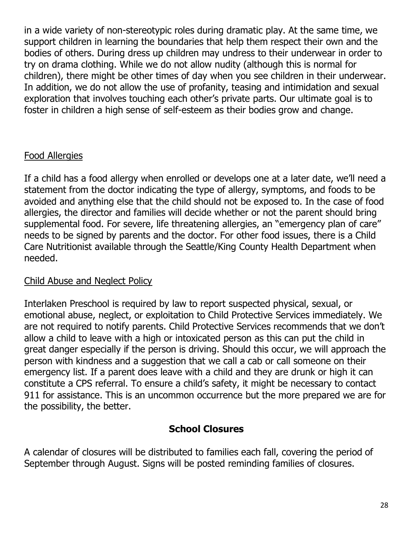in a wide variety of non-stereotypic roles during dramatic play. At the same time, we support children in learning the boundaries that help them respect their own and the bodies of others. During dress up children may undress to their underwear in order to try on drama clothing. While we do not allow nudity (although this is normal for children), there might be other times of day when you see children in their underwear. In addition, we do not allow the use of profanity, teasing and intimidation and sexual exploration that involves touching each other's private parts. Our ultimate goal is to foster in children a high sense of self-esteem as their bodies grow and change.

## Food Allergies

If a child has a food allergy when enrolled or develops one at a later date, we'll need a statement from the doctor indicating the type of allergy, symptoms, and foods to be avoided and anything else that the child should not be exposed to. In the case of food allergies, the director and families will decide whether or not the parent should bring supplemental food. For severe, life threatening allergies, an "emergency plan of care" needs to be signed by parents and the doctor. For other food issues, there is a Child Care Nutritionist available through the Seattle/King County Health Department when needed.

## Child Abuse and Neglect Policy

Interlaken Preschool is required by law to report suspected physical, sexual, or emotional abuse, neglect, or exploitation to Child Protective Services immediately. We are not required to notify parents. Child Protective Services recommends that we don't allow a child to leave with a high or intoxicated person as this can put the child in great danger especially if the person is driving. Should this occur, we will approach the person with kindness and a suggestion that we call a cab or call someone on their emergency list. If a parent does leave with a child and they are drunk or high it can constitute a CPS referral. To ensure a child's safety, it might be necessary to contact 911 for assistance. This is an uncommon occurrence but the more prepared we are for the possibility, the better.

## **School Closures**

A calendar of closures will be distributed to families each fall, covering the period of September through August. Signs will be posted reminding families of closures.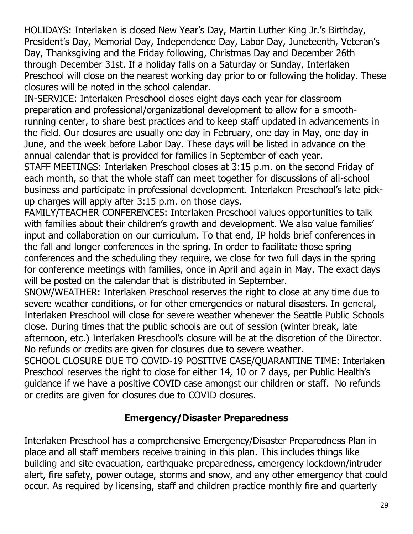HOLIDAYS: Interlaken is closed New Year's Day, Martin Luther King Jr.'s Birthday, President's Day, Memorial Day, Independence Day, Labor Day, Juneteenth, Veteran's Day, Thanksgiving and the Friday following, Christmas Day and December 26th through December 31st. If a holiday falls on a Saturday or Sunday, Interlaken Preschool will close on the nearest working day prior to or following the holiday. These closures will be noted in the school calendar.

IN-SERVICE: Interlaken Preschool closes eight days each year for classroom preparation and professional/organizational development to allow for a smoothrunning center, to share best practices and to keep staff updated in advancements in the field. Our closures are usually one day in February, one day in May, one day in June, and the week before Labor Day. These days will be listed in advance on the annual calendar that is provided for families in September of each year.

STAFF MEETINGS: Interlaken Preschool closes at 3:15 p.m. on the second Friday of each month, so that the whole staff can meet together for discussions of all-school business and participate in professional development. Interlaken Preschool's late pickup charges will apply after 3:15 p.m. on those days.

FAMILY/TEACHER CONFERENCES: Interlaken Preschool values opportunities to talk with families about their children's growth and development. We also value families' input and collaboration on our curriculum. To that end, IP holds brief conferences in the fall and longer conferences in the spring. In order to facilitate those spring conferences and the scheduling they require, we close for two full days in the spring for conference meetings with families, once in April and again in May. The exact days will be posted on the calendar that is distributed in September.

SNOW/WEATHER: Interlaken Preschool reserves the right to close at any time due to severe weather conditions, or for other emergencies or natural disasters. In general, Interlaken Preschool will close for severe weather whenever the Seattle Public Schools close. During times that the public schools are out of session (winter break, late afternoon, etc.) Interlaken Preschool's closure will be at the discretion of the Director. No refunds or credits are given for closures due to severe weather.

SCHOOL CLOSURE DUE TO COVID-19 POSITIVE CASE/QUARANTINE TIME: Interlaken Preschool reserves the right to close for either 14, 10 or 7 days, per Public Health's guidance if we have a positive COVID case amongst our children or staff. No refunds or credits are given for closures due to COVID closures.

## **Emergency/Disaster Preparedness**

Interlaken Preschool has a comprehensive Emergency/Disaster Preparedness Plan in place and all staff members receive training in this plan. This includes things like building and site evacuation, earthquake preparedness, emergency lockdown/intruder alert, fire safety, power outage, storms and snow, and any other emergency that could occur. As required by licensing, staff and children practice monthly fire and quarterly